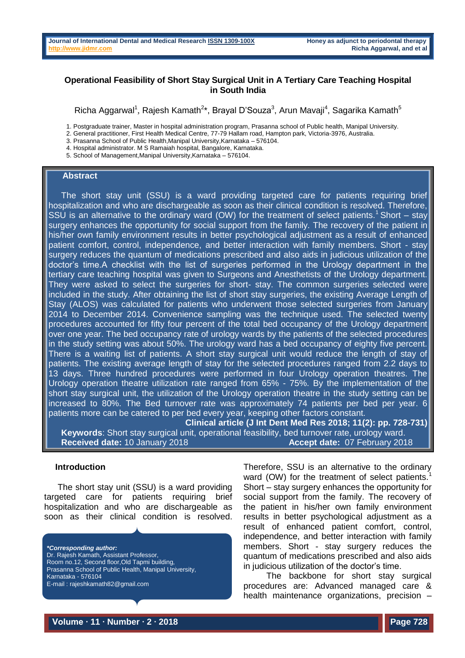# **Operational Feasibility of Short Stay Surgical Unit in A Tertiary Care Teaching Hospital in South India**

Richa Aggarwal<sup>1</sup>, Rajesh Kamath<sup>2\*</sup>, Brayal D'Souza<sup>3</sup>, Arun Mavaji<sup>4</sup>, Sagarika Kamath<sup>5</sup>

1. Postgraduate trainer, Master in hospital administration program, Prasanna school of Public health, Manipal University.

2. General practitioner, First Health Medical Centre, 77-79 Hallam road, Hampton park, Victoria-3976, Australia.

- 3. Prasanna School of Public Health,Manipal University,Karnataka 576104.
- 4. Hospital administrator. M S Ramaiah hospital, Bangalore, Karnataka.
- 5. School of Management,Manipal University,Karnataka 576104.

#### **Abstract**

The short stay unit (SSU) is a ward providing targeted care for patients requiring brief hospitalization and who are dischargeable as soon as their clinical condition is resolved. Therefore, SSU is an alternative to the ordinary ward (OW) for the treatment of select patients.<sup>1</sup> Short – stay surgery enhances the opportunity for social support from the family. The recovery of the patient in his/her own family environment results in better psychological adjustment as a result of enhanced patient comfort, control, independence, and better interaction with family members. Short - stay surgery reduces the quantum of medications prescribed and also aids in judicious utilization of the doctor's time.A checklist with the list of surgeries performed in the Urology department in the tertiary care teaching hospital was given to Surgeons and Anesthetists of the Urology department. They were asked to select the surgeries for short- stay. The common surgeries selected were included in the study. After obtaining the list of short stay surgeries, the existing Average Length of Stay (ALOS) was calculated for patients who underwent those selected surgeries from January 2014 to December 2014. Convenience sampling was the technique used. The selected twenty procedures accounted for fifty four percent of the total bed occupancy of the Urology department over one year. The bed occupancy rate of urology wards by the patients of the selected procedures in the study setting was about 50%. The urology ward has a bed occupancy of eighty five percent. There is a waiting list of patients. A short stay surgical unit would reduce the length of stay of patients. The existing average length of stay for the selected procedures ranged from 2.2 days to 13 days. Three hundred procedures were performed in four Urology operation theatres. The Urology operation theatre utilization rate ranged from 65% - 75%. By the implementation of the short stay surgical unit, the utilization of the Urology operation theatre in the study setting can be increased to 80%. The Bed turnover rate was approximately 74 patients per bed per year. 6 patients more can be catered to per bed every year, keeping other factors constant.

**Clinical article (J Int Dent Med Res 2018; 11(2): pp. 728-731) Keywords**: Short stay surgical unit, operational feasibility, bed turnover rate, urology ward. **Received date:** 10 January 2018 **Accept date:** 07 February 2018

### **Introduction**

The short stay unit (SSU) is a ward providing targeted care for patients requiring brief hospitalization and who are dischargeable as soon as their clinical condition is resolved.

*\*Corresponding author:* Dr. Rajesh Kamath, Assistant Professor, Room no.12, Second floor,Old Tapmi building, Prasanna School of Public Health, Manipal University, Karnataka - 576104 E-mail : rajeshkamath82@gmail.com

Therefore, SSU is an alternative to the ordinary ward (OW) for the treatment of select patients.<sup>1</sup> Short – stay surgery enhances the opportunity for social support from the family. The recovery of the patient in his/her own family environment results in better psychological adjustment as a result of enhanced patient comfort, control, independence, and better interaction with family members. Short - stay surgery reduces the quantum of medications prescribed and also aids in judicious utilization of the doctor's time.

 The backbone for short stay surgical procedures are: Advanced managed care & health maintenance organizations, precision –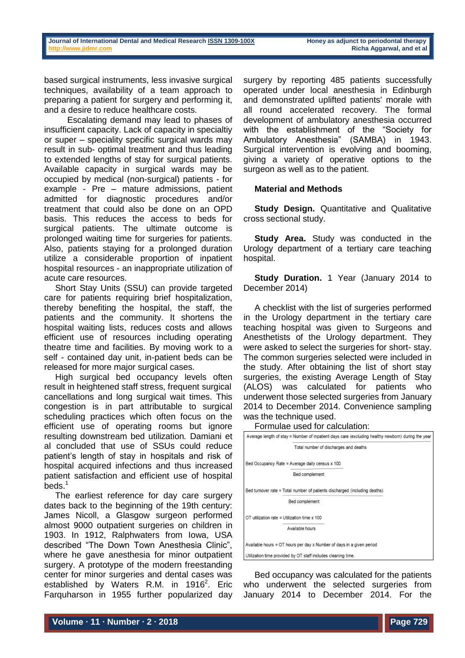based surgical instruments, less invasive surgical techniques, availability of a team approach to preparing a patient for surgery and performing it, and a desire to reduce healthcare costs.

 Escalating demand may lead to phases of insufficient capacity. Lack of capacity in specialtiy or super – speciality specific surgical wards may result in sub- optimal treatment and thus leading to extended lengths of stay for surgical patients. Available capacity in surgical wards may be occupied by medical (non-surgical) patients - for example - Pre – mature admissions, patient admitted for diagnostic procedures and/or treatment that could also be done on an OPD basis. This reduces the access to beds for surgical patients. The ultimate outcome is prolonged waiting time for surgeries for patients. Also, patients staying for a prolonged duration utilize a considerable proportion of inpatient hospital resources - an inappropriate utilization of acute care resources.

Short Stay Units (SSU) can provide targeted care for patients requiring brief hospitalization, thereby benefiting the hospital, the staff, the patients and the community. It shortens the hospital waiting lists, reduces costs and allows efficient use of resources including operating theatre time and facilities. By moving work to a self - contained day unit, in-patient beds can be released for more major surgical cases.

High surgical bed occupancy levels often result in heightened staff stress, frequent surgical cancellations and long surgical wait times. This congestion is in part attributable to surgical scheduling practices which often focus on the efficient use of operating rooms but ignore resulting downstream bed utilization*.* Damiani et al concluded that use of SSUs could reduce patient's length of stay in hospitals and risk of hospital acquired infections and thus increased patient satisfaction and efficient use of hospital beds.<sup>1</sup>

The earliest reference for day care surgery dates back to the beginning of the 19th century: James Nicoll, a Glasgow surgeon performed almost 9000 outpatient surgeries on children in 1903. In 1912, Ralphwaters from Iowa, USA described "The Down Town Anesthesia Clinic", where he gave anesthesia for minor outpatient surgery. A prototype of the modern freestanding center for minor surgeries and dental cases was established by Waters R.M. in  $1916^2$  $1916^2$  $1916^2$ . Eric Farquharson in 1955 further popularized day

surgery by reporting 485 patients successfully operated under local anesthesia in Edinburgh and demonstrated uplifted patients' morale with all round accelerated recovery. The formal development of ambulatory anesthesia occurred with the establishment of the "Society for Ambulatory Anesthesia" (SAMBA) in 1943. Surgical intervention is evolving and booming, giving a variety of operative options to the surgeon as well as to the patient.

# **Material and Methods**

**Study Design.** Quantitative and Qualitative cross sectional study.

**Study Area.** Study was conducted in the Urology department of a tertiary care teaching hospital.

**Study Duration.** 1 Year (January 2014 to December 2014)

A checklist with the list of surgeries performed in the Urology department in the tertiary care teaching hospital was given to Surgeons and Anesthetists of the Urology department. They were asked to select the surgeries for short- stay. The common surgeries selected were included in the study. After obtaining the list of short stay surgeries, the existing Average Length of Stay (ALOS) was calculated for patients who underwent those selected surgeries from January 2014 to December 2014. Convenience sampling was the technique used.

Formulae used for calculation:



Bed occupancy was calculated for the patients who underwent the selected surgeries from January 2014 to December 2014. For the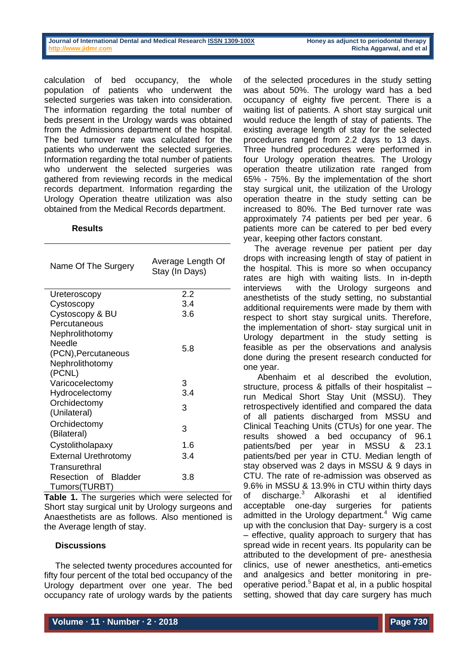| Journal of International Dental and Medical Research ISSN 1309-100X |  |  |  |
|---------------------------------------------------------------------|--|--|--|
| http://www.iidmr.com                                                |  |  |  |

**Honey as adjunct to periodontal therapy Richa Aggarwal, and et al** 

calculation of bed occupancy, the whole population of patients who underwent the selected surgeries was taken into consideration. The information regarding the total number of beds present in the Urology wards was obtained from the Admissions department of the hospital. The bed turnover rate was calculated for the patients who underwent the selected surgeries. Information regarding the total number of patients who underwent the selected surgeries was gathered from reviewing records in the medical records department. Information regarding the Urology Operation theatre utilization was also obtained from the Medical Records department.

### **Results**

| Name Of The Surgery         | Average Length Of<br>Stay (In Days) |  |  |
|-----------------------------|-------------------------------------|--|--|
| Ureteroscopy                | 2.2                                 |  |  |
| Cystoscopy                  | 3.4                                 |  |  |
| Cystoscopy & BU             | 3.6                                 |  |  |
| Percutaneous                |                                     |  |  |
| Nephrolithotomy             |                                     |  |  |
| Needle                      | 5.8                                 |  |  |
| (PCN), Percutaneous         |                                     |  |  |
| Nephrolithotomy             |                                     |  |  |
| (PCNL)                      |                                     |  |  |
| Varicocelectomy             | 3                                   |  |  |
| Hydrocelectomy              | 3.4                                 |  |  |
| Orchidectomy                | 3                                   |  |  |
| (Unilateral)                |                                     |  |  |
| Orchidectomy                | 3                                   |  |  |
| (Bilateral)                 |                                     |  |  |
| Cystolitholapaxy            | 1.6                                 |  |  |
| <b>External Urethrotomy</b> | 3.4                                 |  |  |
| Transurethral               |                                     |  |  |
| Resection of Bladder        | 3.8                                 |  |  |
| Tumors(TURBT)               |                                     |  |  |

**Table 1.** The surgeries which were selected for Short stay surgical unit by Urology surgeons and Anaesthetists are as follows. Also mentioned is the Average length of stay.

#### **Discussions**

The selected twenty procedures accounted for fifty four percent of the total bed occupancy of the Urology department over one year. The bed occupancy rate of urology wards by the patients

of the selected procedures in the study setting was about 50%. The urology ward has a bed occupancy of eighty five percent. There is a waiting list of patients. A short stay surgical unit would reduce the length of stay of patients. The existing average length of stay for the selected procedures ranged from 2.2 days to 13 days. Three hundred procedures were performed in four Urology operation theatres. The Urology operation theatre utilization rate ranged from 65% - 75%. By the implementation of the short stay surgical unit, the utilization of the Urology operation theatre in the study setting can be increased to 80%. The Bed turnover rate was approximately 74 patients per bed per year. 6 patients more can be catered to per bed every year, keeping other factors constant.

The average revenue per patient per day drops with increasing length of stay of patient in the hospital. This is more so when occupancy rates are high with waiting lists. In in-depth interviews with the Urology surgeons and anesthetists of the study setting, no substantial additional requirements were made by them with respect to short stay surgical units. Therefore, the implementation of short- stay surgical unit in Urology department in the study setting is feasible as per the observations and analysis done during the present research conducted for one year.

Abenhaim et al described the evolution, structure, process & pitfalls of their hospitalist – run Medical Short Stay Unit (MSSU). They retrospectively identified and compared the data of all patients discharged from MSSU and Clinical Teaching Units (CTUs) for one year. The results showed a bed occupancy of 96.1 patients/bed per year in MSSU & 23.1 patients/bed per year in CTU. Median length of stay observed was 2 days in MSSU & 9 days in CTU. The rate of re-admission was observed as 9.6% in MSSU & 13.9% in CTU within thirty days of discharge.<sup>3</sup> Alkorashi et al identified acceptable one-day surgeries for patients admitted in the Urology department. $4$  Wig came up with the conclusion that Day- surgery is a cost – effective, quality approach to surgery that has spread wide in recent years. Its popularity can be attributed to the development of pre- anesthesia clinics, use of newer anesthetics, anti-emetics and analgesics and better monitoring in preoperative period.<sup>5</sup> Bapat et al, in a public hospital setting, showed that day care surgery has much